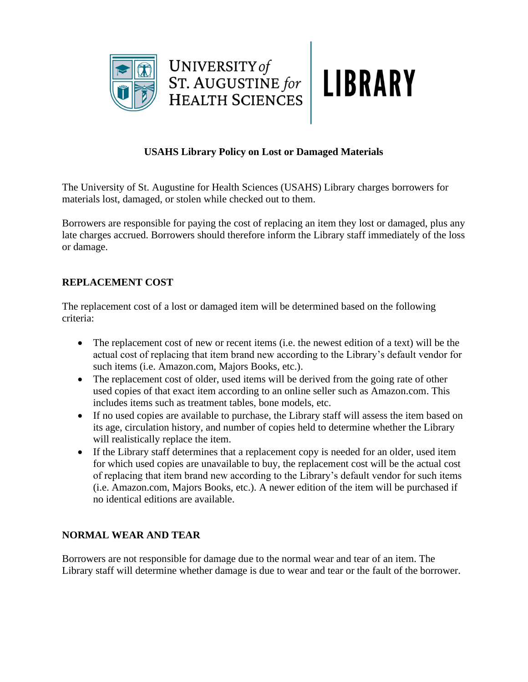



# **USAHS Library Policy on Lost or Damaged Materials**

The University of St. Augustine for Health Sciences (USAHS) Library charges borrowers for materials lost, damaged, or stolen while checked out to them.

Borrowers are responsible for paying the cost of replacing an item they lost or damaged, plus any late charges accrued. Borrowers should therefore inform the Library staff immediately of the loss or damage.

# **REPLACEMENT COST**

The replacement cost of a lost or damaged item will be determined based on the following criteria:

- The replacement cost of new or recent items (i.e. the newest edition of a text) will be the actual cost of replacing that item brand new according to the Library's default vendor for such items (i.e. Amazon.com, Majors Books, etc.).
- The replacement cost of older, used items will be derived from the going rate of other used copies of that exact item according to an online seller such as Amazon.com. This includes items such as treatment tables, bone models, etc.
- If no used copies are available to purchase, the Library staff will assess the item based on its age, circulation history, and number of copies held to determine whether the Library will realistically replace the item.
- If the Library staff determines that a replacement copy is needed for an older, used item for which used copies are unavailable to buy, the replacement cost will be the actual cost of replacing that item brand new according to the Library's default vendor for such items (i.e. Amazon.com, Majors Books, etc.). A newer edition of the item will be purchased if no identical editions are available.

# **NORMAL WEAR AND TEAR**

Borrowers are not responsible for damage due to the normal wear and tear of an item. The Library staff will determine whether damage is due to wear and tear or the fault of the borrower.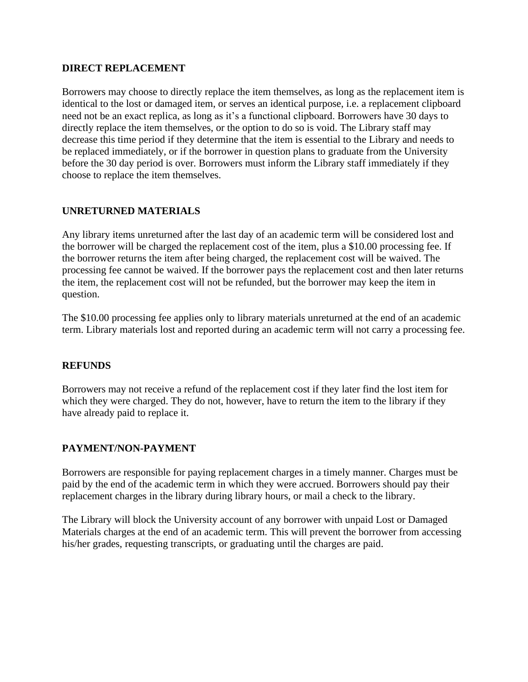#### **DIRECT REPLACEMENT**

Borrowers may choose to directly replace the item themselves, as long as the replacement item is identical to the lost or damaged item, or serves an identical purpose, i.e. a replacement clipboard need not be an exact replica, as long as it's a functional clipboard. Borrowers have 30 days to directly replace the item themselves, or the option to do so is void. The Library staff may decrease this time period if they determine that the item is essential to the Library and needs to be replaced immediately, or if the borrower in question plans to graduate from the University before the 30 day period is over. Borrowers must inform the Library staff immediately if they choose to replace the item themselves.

## **UNRETURNED MATERIALS**

Any library items unreturned after the last day of an academic term will be considered lost and the borrower will be charged the replacement cost of the item, plus a \$10.00 processing fee. If the borrower returns the item after being charged, the replacement cost will be waived. The processing fee cannot be waived. If the borrower pays the replacement cost and then later returns the item, the replacement cost will not be refunded, but the borrower may keep the item in question.

The \$10.00 processing fee applies only to library materials unreturned at the end of an academic term. Library materials lost and reported during an academic term will not carry a processing fee.

## **REFUNDS**

Borrowers may not receive a refund of the replacement cost if they later find the lost item for which they were charged. They do not, however, have to return the item to the library if they have already paid to replace it.

## **PAYMENT/NON-PAYMENT**

Borrowers are responsible for paying replacement charges in a timely manner. Charges must be paid by the end of the academic term in which they were accrued. Borrowers should pay their replacement charges in the library during library hours, or mail a check to the library.

The Library will block the University account of any borrower with unpaid Lost or Damaged Materials charges at the end of an academic term. This will prevent the borrower from accessing his/her grades, requesting transcripts, or graduating until the charges are paid.